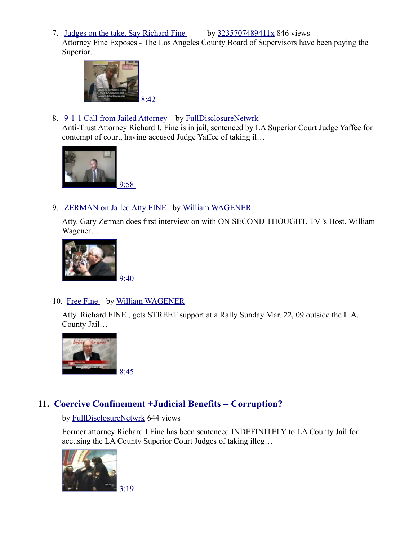7. [Judges on the take. Say Richard Fine](http://www.youtube.com/watch?v=mHizCW1A310&list=PLB79EA2BCD02288E5&index=6) by [3235707489411x](http://www.youtube.com/user/3235707489411x?feature=playlist) 846 views

Attorney Fine Exposes - The Los Angeles County Board of Supervisors have been paying the Superior…



8. [9-1-1 Call from Jailed Attorney](http://www.youtube.com/watch?v=6HLbdnzDvp8&list=PLB79EA2BCD02288E5&index=7) by [FullDisclosureNetwrk](http://www.youtube.com/user/FullDisclosureNetwrk?feature=playlist) 

Anti-Trust Attorney Richard I. Fine is in jail, sentenced by LA Superior Court Judge Yaffee for contempt of court, having accused Judge Yaffee of taking il…



### 9. [ZERMAN on Jailed Atty FINE](http://www.youtube.com/watch?v=n0ub8_p0bHo&list=PLB79EA2BCD02288E5&index=8) by William WAGENER

Atty. Gary Zerman does first interview on with ON SECOND THOUGHT. TV 's Host, William Wagener…



## 10. [Free Fine](http://www.youtube.com/watch?v=0MSpSLD89sY&list=PLB79EA2BCD02288E5&index=9) by [William WAGENER](http://www.youtube.com/user/williamwagener?feature=playlist)

Atty. Richard FINE , gets STREET support at a Rally Sunday Mar. 22, 09 outside the L.A. County Jail…



## **11. [Coercive Confinement +Judicial Benefits = Corruption?](http://www.youtube.com/watch?v=zBPMO68D_bw&list=PLB79EA2BCD02288E5&index=10)**

### by [FullDisclosureNetwrk](http://www.youtube.com/user/FullDisclosureNetwrk?feature=playlist) 644 views

Former attorney Richard I Fine has been sentenced INDEFINITELY to LA County Jail for accusing the LA County Superior Court Judges of taking illeg…

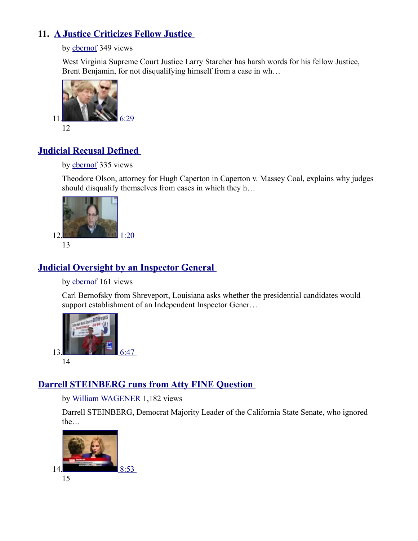## **11. [A Justice Criticizes Fellow Justice](http://www.youtube.com/watch?v=mJyXF0HJqqs&list=PLB79EA2BCD02288E5&index=11)**

by [cbernof](http://www.youtube.com/user/cbernof?feature=playlist) 349 views

West Virginia Supreme Court Justice Larry Starcher has harsh words for his fellow Justice, Brent Benjamin, for not disqualifying himself from a case in wh…



## **[Judicial Recusal Defined](http://www.youtube.com/watch?v=5j9cgJZYMi8&list=PLB79EA2BCD02288E5&index=12)**

#### by [cbernof](http://www.youtube.com/user/cbernof?feature=playlist) 335 views

Theodore Olson, attorney for Hugh Caperton in Caperton v. Massey Coal, explains why judges should disqualify themselves from cases in which they h…



# **[Judicial Oversight by an Inspector General](http://www.youtube.com/watch?v=hHax65dN6cA&list=PLB79EA2BCD02288E5&index=13)**

by [cbernof](http://www.youtube.com/user/cbernof?feature=playlist) 161 views

Carl Bernofsky from Shreveport, Louisiana asks whether the presidential candidates would support establishment of an Independent Inspector Gener...



# **[Darrell STEINBERG runs from Atty FINE Question](http://www.youtube.com/watch?v=WFpetd-NH5s&list=PLB79EA2BCD02288E5&index=14)**

by [William WAGENER](http://www.youtube.com/user/williamwagener?feature=playlist) 1,182 views

Darrell STEINBERG, Democrat Majority Leader of the California State Senate, who ignored the…

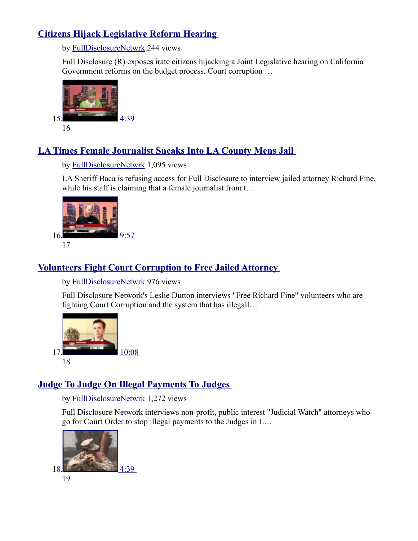## **[Citizens Hijack Legislative Reform Hearing](http://www.youtube.com/watch?v=WAWMGdmxb9M&list=PLB79EA2BCD02288E5&index=15)**

by [FullDisclosureNetwrk](http://www.youtube.com/user/FullDisclosureNetwrk?feature=playlist) 244 views

Full Disclosure (R) exposes irate citizens hijacking a Joint Legislative hearing on California Government reforms on the budget process. Court corruption …



## **[LA Times Female Journalist Sneaks Into LA County Mens Jail](http://www.youtube.com/watch?v=no1gtqpeh80&list=PLB79EA2BCD02288E5&index=16)**

by [FullDisclosureNetwrk](http://www.youtube.com/user/FullDisclosureNetwrk?feature=playlist) 1,095 views

LA Sheriff Baca is refusing access for Full Disclosure to interview jailed attorney Richard Fine, while his staff is claiming that a female journalist from t...



# **[Volunteers Fight Court Corruption to Free Jailed Attorney](http://www.youtube.com/watch?v=Casg6Mw78NU&list=PLB79EA2BCD02288E5&index=17)**

by [FullDisclosureNetwrk](http://www.youtube.com/user/FullDisclosureNetwrk?feature=playlist) 976 views

Full Disclosure Network's Leslie Dutton interviews "Free Richard Fine" volunteers who are fighting Court Corruption and the system that has illegall…



# **[Judge To Judge On Illegal Payments To Judges](http://www.youtube.com/watch?v=GNKnvwamrEA&list=PLB79EA2BCD02288E5&index=18)**

by [FullDisclosureNetwrk](http://www.youtube.com/user/FullDisclosureNetwrk?feature=playlist) 1,272 views

Full Disclosure Network interviews non-profit, public interest "Judicial Watch" attorneys who go for Court Order to stop illegal payments to the Judges in L…

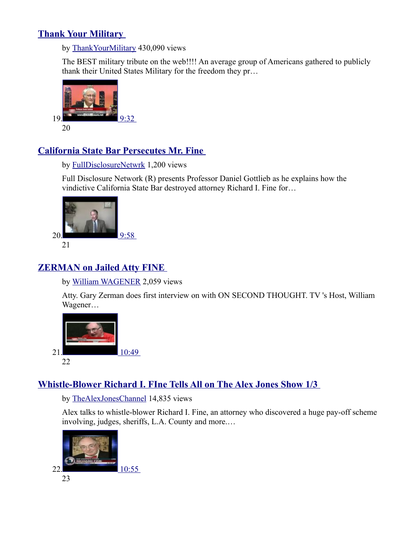## **[Thank Your Military](http://www.youtube.com/watch?v=Ak4jFODlj7c&list=PLB79EA2BCD02288E5&index=19)**

by [ThankYourMilitary](http://www.youtube.com/user/ThankYourMilitary?feature=playlist) 430,090 views

The BEST military tribute on the web!!!! An average group of Americans gathered to publicly thank their United States Military for the freedom they pr…



## **[California State Bar Persecutes Mr. Fine](http://www.youtube.com/watch?v=A4v3PzfBIKg&list=PLB79EA2BCD02288E5&index=20)**

by [FullDisclosureNetwrk](http://www.youtube.com/user/FullDisclosureNetwrk?feature=playlist) 1,200 views

Full Disclosure Network (R) presents Professor Daniel Gottlieb as he explains how the vindictive California State Bar destroyed attorney Richard I. Fine for…



# **[ZERMAN on Jailed Atty FINE](http://www.youtube.com/watch?v=n0ub8_p0bHo&list=PLB79EA2BCD02288E5&index=21)**

by [William WAGENER](http://www.youtube.com/user/williamwagener?feature=playlist) 2,059 views

Atty. Gary Zerman does first interview on with ON SECOND THOUGHT. TV 's Host, William Wagener…



# **[Whistle-Blower Richard I. FIne Tells All on The Alex Jones Show 1/3](http://www.youtube.com/watch?v=BoJukyFOH-g&list=PLB79EA2BCD02288E5&index=22)**

by [TheAlexJonesChannel](http://www.youtube.com/user/TheAlexJonesChannel?feature=playlist) 14,835 views

Alex talks to whistle-blower Richard I. Fine, an attorney who discovered a huge pay-off scheme involving, judges, sheriffs, L.A. County and more.…

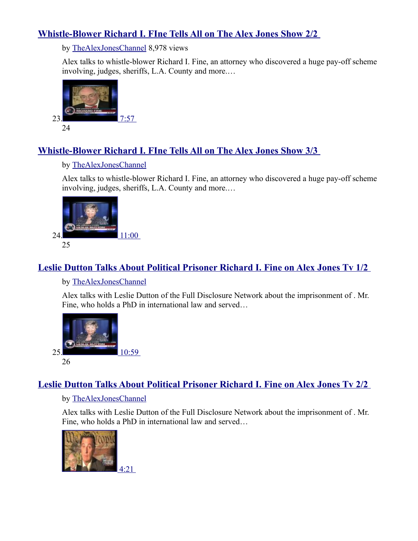## **[Whistle-Blower Richard I. FIne Tells All on The Alex Jones Show 2/2](http://www.youtube.com/watch?v=a6xBPyTPKDk&list=PLB79EA2BCD02288E5&index=23)**

by [TheAlexJonesChannel](http://www.youtube.com/user/TheAlexJonesChannel?feature=playlist) 8,978 views

Alex talks to whistle-blower Richard I. Fine, an attorney who discovered a huge pay-off scheme involving, judges, sheriffs, L.A. County and more.…



## **[Whistle-Blower Richard I. FIne Tells All on The Alex Jones Show 3/3](http://www.youtube.com/watch?v=GfwzMlNXYpc&list=PLB79EA2BCD02288E5&index=24)**

### by [TheAlexJonesChannel](http://www.youtube.com/user/TheAlexJonesChannel?feature=playlist)

Alex talks to whistle-blower Richard I. Fine, an attorney who discovered a huge pay-off scheme involving, judges, sheriffs, L.A. County and more.…



# **[Leslie Dutton Talks About Political Prisoner Richard I. Fine on Alex Jones Tv 1/2](http://www.youtube.com/watch?v=QusyDWDvMUA&list=PLB79EA2BCD02288E5&index=25)**

### by [TheAlexJonesChannel](http://www.youtube.com/user/TheAlexJonesChannel?feature=playlist)

Alex talks with Leslie Dutton of the Full Disclosure Network about the imprisonment of . Mr. Fine, who holds a PhD in international law and served…



## **[Leslie Dutton Talks About Political Prisoner Richard I. Fine on Alex Jones Tv 2/2](http://www.youtube.com/watch?v=Y5N3iZZ30ds&list=PLB79EA2BCD02288E5&index=26)**

### by [TheAlexJonesChannel](http://www.youtube.com/user/TheAlexJonesChannel?feature=playlist)

Alex talks with Leslie Dutton of the Full Disclosure Network about the imprisonment of . Mr. Fine, who holds a PhD in international law and served…